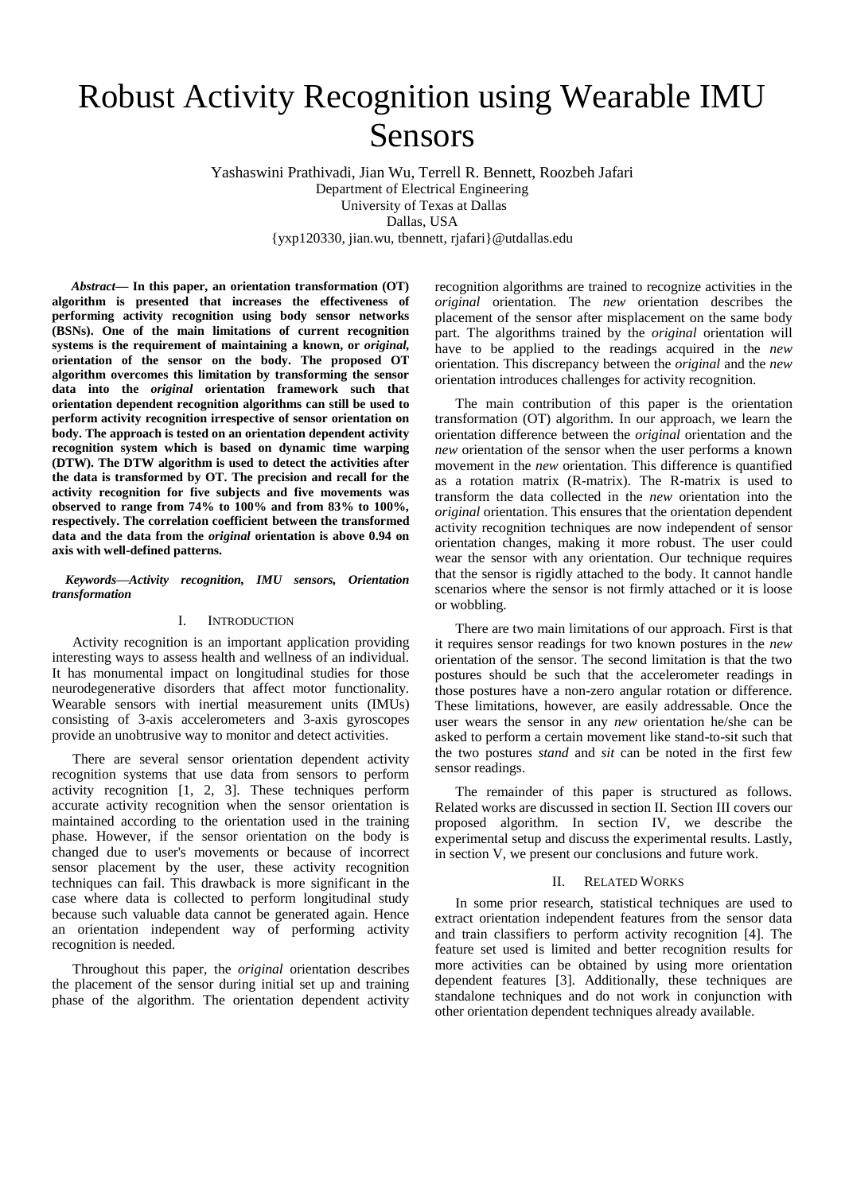# Robust Activity Recognition using Wearable IMU Sensors

Yashaswini Prathivadi, Jian Wu, Terrell R. Bennett, Roozbeh Jafari Department of Electrical Engineering University of Texas at Dallas Dallas, USA {yxp120330, jian.wu, tbennett, rjafari}@utdallas.edu

*Abstract***— In this paper, an orientation transformation (OT) algorithm is presented that increases the effectiveness of performing activity recognition using body sensor networks (BSNs). One of the main limitations of current recognition systems is the requirement of maintaining a known, or** *original,* **orientation of the sensor on the body. The proposed OT algorithm overcomes this limitation by transforming the sensor data into the** *original* **orientation framework such that orientation dependent recognition algorithms can still be used to perform activity recognition irrespective of sensor orientation on body. The approach is tested on an orientation dependent activity recognition system which is based on dynamic time warping (DTW). The DTW algorithm is used to detect the activities after the data is transformed by OT. The precision and recall for the activity recognition for five subjects and five movements was observed to range from 74% to 100% and from 83% to 100%, respectively. The correlation coefficient between the transformed data and the data from the** *original* **orientation is above 0.94 on axis with well-defined patterns.**

*Keywords—Activity recognition, IMU sensors, Orientation transformation*

## I. INTRODUCTION

Activity recognition is an important application providing interesting ways to assess health and wellness of an individual. It has monumental impact on longitudinal studies for those neurodegenerative disorders that affect motor functionality. Wearable sensors with inertial measurement units (IMUs) consisting of 3-axis accelerometers and 3-axis gyroscopes provide an unobtrusive way to monitor and detect activities.

There are several sensor orientation dependent activity recognition systems that use data from sensors to perform activity recognition [1, 2, 3]. These techniques perform accurate activity recognition when the sensor orientation is maintained according to the orientation used in the training phase. However, if the sensor orientation on the body is changed due to user's movements or because of incorrect sensor placement by the user, these activity recognition techniques can fail. This drawback is more significant in the case where data is collected to perform longitudinal study because such valuable data cannot be generated again. Hence an orientation independent way of performing activity recognition is needed.

Throughout this paper, the *original* orientation describes the placement of the sensor during initial set up and training phase of the algorithm. The orientation dependent activity recognition algorithms are trained to recognize activities in the *original* orientation. The *new* orientation describes the placement of the sensor after misplacement on the same body part. The algorithms trained by the *original* orientation will have to be applied to the readings acquired in the *new* orientation. This discrepancy between the *original* and the *new* orientation introduces challenges for activity recognition.

The main contribution of this paper is the orientation transformation (OT) algorithm. In our approach, we learn the orientation difference between the *original* orientation and the *new* orientation of the sensor when the user performs a known movement in the *new* orientation. This difference is quantified as a rotation matrix (R-matrix). The R-matrix is used to transform the data collected in the *new* orientation into the *original* orientation. This ensures that the orientation dependent activity recognition techniques are now independent of sensor orientation changes, making it more robust. The user could wear the sensor with any orientation. Our technique requires that the sensor is rigidly attached to the body. It cannot handle scenarios where the sensor is not firmly attached or it is loose or wobbling.

There are two main limitations of our approach. First is that it requires sensor readings for two known postures in the *new* orientation of the sensor. The second limitation is that the two postures should be such that the accelerometer readings in those postures have a non-zero angular rotation or difference. These limitations, however, are easily addressable. Once the user wears the sensor in any *new* orientation he/she can be asked to perform a certain movement like stand-to-sit such that the two postures *stand* and *sit* can be noted in the first few sensor readings.

The remainder of this paper is structured as follows. Related works are discussed in section II. Section III covers our proposed algorithm. In section IV, we describe the experimental setup and discuss the experimental results. Lastly, in section V, we present our conclusions and future work.

### II. RELATED WORKS

In some prior research, statistical techniques are used to extract orientation independent features from the sensor data and train classifiers to perform activity recognition [4]. The feature set used is limited and better recognition results for more activities can be obtained by using more orientation dependent features [3]. Additionally, these techniques are standalone techniques and do not work in conjunction with other orientation dependent techniques already available.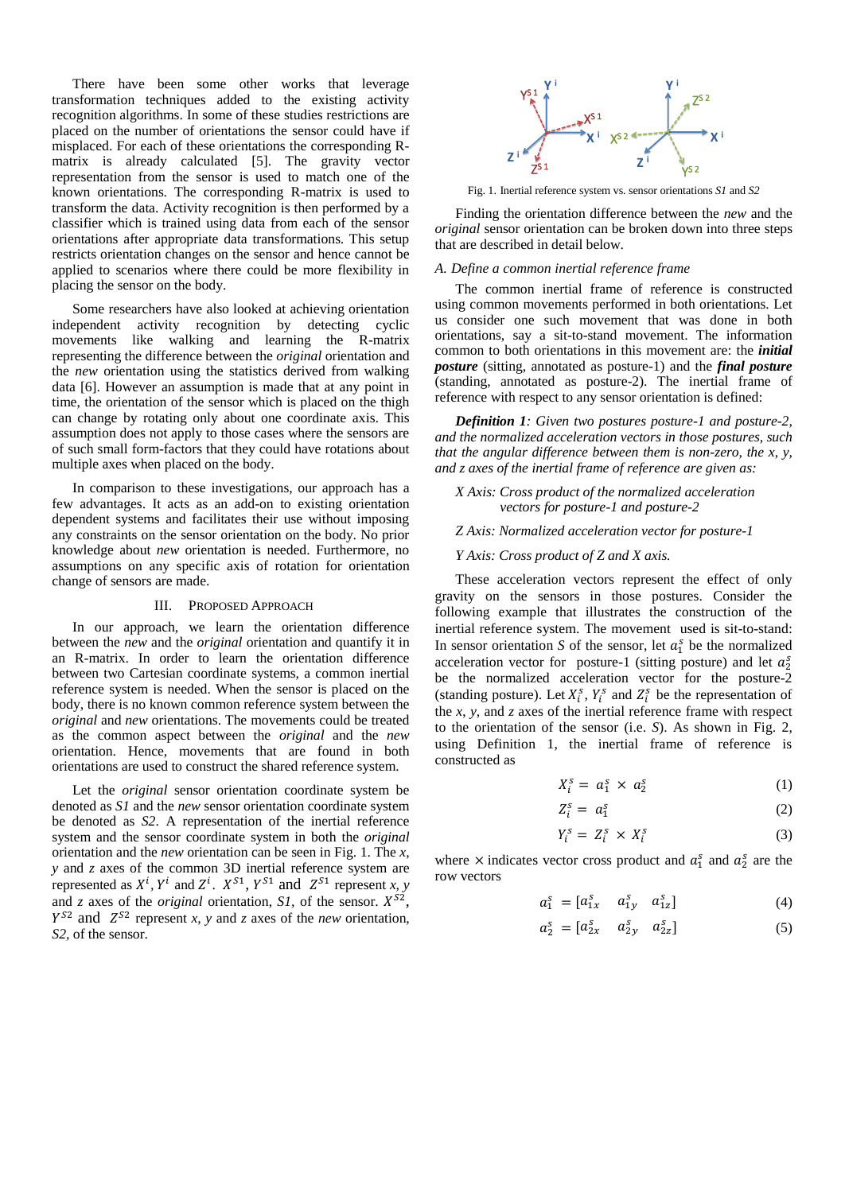There have been some other works that leverage transformation techniques added to the existing activity recognition algorithms. In some of these studies restrictions are placed on the number of orientations the sensor could have if misplaced. For each of these orientations the corresponding Rmatrix is already calculated [5]. The gravity vector representation from the sensor is used to match one of the known orientations. The corresponding R-matrix is used to transform the data. Activity recognition is then performed by a classifier which is trained using data from each of the sensor orientations after appropriate data transformations. This setup restricts orientation changes on the sensor and hence cannot be applied to scenarios where there could be more flexibility in placing the sensor on the body.

Some researchers have also looked at achieving orientation independent activity recognition by detecting cyclic movements like walking and learning the R-matrix representing the difference between the *original* orientation and the *new* orientation using the statistics derived from walking data [6]. However an assumption is made that at any point in time, the orientation of the sensor which is placed on the thigh can change by rotating only about one coordinate axis. This assumption does not apply to those cases where the sensors are of such small form-factors that they could have rotations about multiple axes when placed on the body.

In comparison to these investigations, our approach has a few advantages. It acts as an add-on to existing orientation dependent systems and facilitates their use without imposing any constraints on the sensor orientation on the body. No prior knowledge about *new* orientation is needed. Furthermore, no assumptions on any specific axis of rotation for orientation change of sensors are made.

#### III. PROPOSED APPROACH

In our approach, we learn the orientation difference between the *new* and the *original* orientation and quantify it in an R-matrix. In order to learn the orientation difference between two Cartesian coordinate systems, a common inertial reference system is needed. When the sensor is placed on the body, there is no known common reference system between the *original* and *new* orientations. The movements could be treated as the common aspect between the *original* and the *new* orientation. Hence, movements that are found in both orientations are used to construct the shared reference system.

Let the *original* sensor orientation coordinate system be denoted as *S1* and the *new* sensor orientation coordinate system be denoted as *S2*. A representation of the inertial reference system and the sensor coordinate system in both the *original* orientation and the *new* orientation can be seen in Fig. 1. The *x, y* and *z* axes of the common 3D inertial reference system are represented as  $X^i$ ,  $Y^i$  and  $Z^i$ .  $X^{S1}$ ,  $Y^{S1}$  and  $Z^{S1}$  represent *x*, *y* and *z* axes of the *original* orientation, *S1*, of the sensor.  $X^{S2}$ ,  $Y^{S2}$  and  $Z^{S2}$  represent *x*, *y* and *z* axes of the *new* orientation, *S2,* of the sensor.



Fig. 1. Inertial reference system vs. sensor orientations *S1* and *S2*

Finding the orientation difference between the *new* and the *original* sensor orientation can be broken down into three steps that are described in detail below.

#### *A. Define a common inertial reference frame*

The common inertial frame of reference is constructed using common movements performed in both orientations. Let us consider one such movement that was done in both orientations, say a sit-to-stand movement. The information common to both orientations in this movement are: the *initial posture* (sitting, annotated as posture-1) and the *final posture* (standing, annotated as posture-2). The inertial frame of reference with respect to any sensor orientation is defined:

*Definition 1: Given two postures posture-1 and posture-2, and the normalized acceleration vectors in those postures, such that the angular difference between them is non-zero, the x, y, and z axes of the inertial frame of reference are given as:*

## *X Axis: Cross product of the normalized acceleration vectors for posture-1 and posture-2*

## *Z Axis: Normalized acceleration vector for posture-1*

## *Y Axis: Cross product of Z and X axis.*

These acceleration vectors represent the effect of only gravity on the sensors in those postures. Consider the following example that illustrates the construction of the inertial reference system. The movement used is sit-to-stand: In sensor orientation *S* of the sensor, let  $a_1^s$  be the normalized acceleration vector for posture-1 (sitting posture) and let  $a_2^s$ be the normalized acceleration vector for the posture-2 (standing posture). Let  $X_i^s$ ,  $Y_i^s$  and  $Z_i^s$  be the representation of the *x*, *y*, and *z* axes of the inertial reference frame with respect to the orientation of the sensor (i.e. *S*). As shown in Fig. 2, using Definition 1, the inertial frame of reference is constructed as

$$
X_i^s = a_1^s \times a_2^s \tag{1}
$$

$$
Z_i^s = a_1^s \tag{2}
$$

$$
Y_i^s = Z_i^s \times X_i^s \tag{3}
$$

where  $\times$  indicates vector cross product and  $a_1^s$  and  $a_2^s$  are the row vectors

$$
a_1^s = \begin{bmatrix} a_{1x}^s & a_{1y}^s & a_{1z}^s \end{bmatrix} \tag{4}
$$

$$
a_2^s = \begin{bmatrix} a_{2x}^s & a_{2y}^s & a_{2z}^s \end{bmatrix} \tag{5}
$$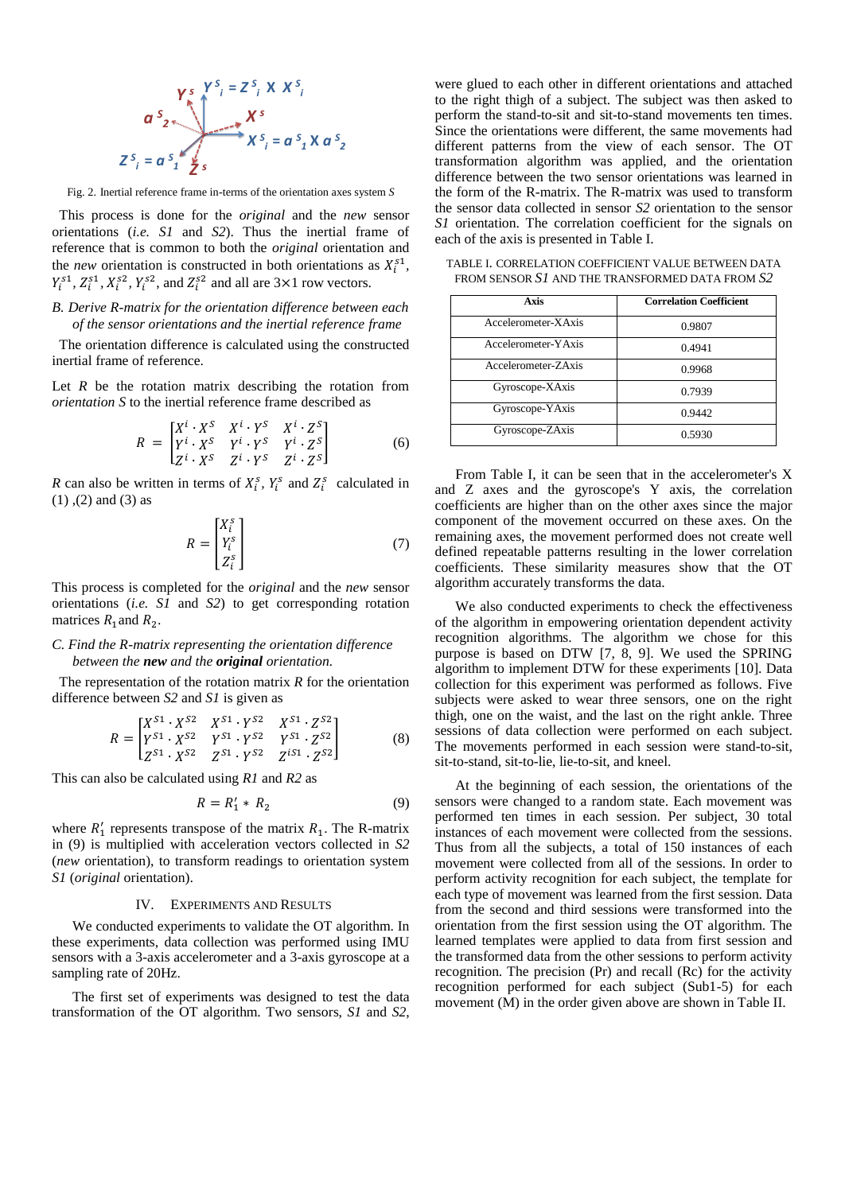$$
\begin{array}{ccc}\n\mathbf{Y}_s & \mathbf{Y}_{i}^S & = Z_{i}^S \times X_{i}^S \\
\mathbf{a}^{S} & & \mathbf{X}^S \\
\hline\n\mathbf{X}^{S} & & \mathbf{X}^{S} \\
\hline\n\mathbf{X}^{S} & & \mathbf{X}^{S} \\
\mathbf{Z}^{S} & & \mathbf{X}^{S} \\
\hline\n\mathbf{Z}^{S} & & \mathbf{Z}^{S} \\
\hline\n\end{array}
$$

Fig. 2. Inertial reference frame in-terms of the orientation axes system *S*

 This process is done for the *original* and the *new* sensor orientations (*i.e. S1* and *S2*). Thus the inertial frame of reference that is common to both the *original* orientation and the *new* orientation is constructed in both orientations as  $X_i^{s1}$ ,  $Y_i^{s1}$ ,  $Z_i^{s1}$ ,  $X_i^{s2}$ ,  $Y_i^{s2}$ , and  $Z_i^{s2}$  and all are  $3 \times 1$  row vectors.

# *B. Derive R-matrix for the orientation difference between each of the sensor orientations and the inertial reference frame*

 The orientation difference is calculated using the constructed inertial frame of reference.

Let *R* be the rotation matrix describing the rotation from *orientation S* to the inertial reference frame described as

$$
R = \begin{bmatrix} X^i \cdot X^S & X^i \cdot Y^S & X^i \cdot Z^S \\ Y^i \cdot X^S & Y^i \cdot Y^S & Y^i \cdot Z^S \\ Z^i \cdot X^S & Z^i \cdot Y^S & Z^i \cdot Z^S \end{bmatrix} \tag{6}
$$

*R* can also be written in terms of  $X_i^s$ ,  $Y_i^s$  and  $Z_i^s$  calculated in  $(1)$ ,  $(2)$  and  $(3)$  as

$$
R = \begin{bmatrix} X_i^s \\ Y_i^s \\ Z_i^s \end{bmatrix} \tag{7}
$$

This process is completed for the *original* and the *new* sensor orientations (*i.e. S1* and *S2*) to get corresponding rotation matrices  $R_1$  and  $R_2$ .

## *C. Find the R-matrix representing the orientation difference between the new and the original orientation.*

 The representation of the rotation matrix *R* for the orientation difference between *S2* and *S1* is given as

$$
R = \begin{bmatrix} X^{S1} \cdot X^{S2} & X^{S1} \cdot Y^{S2} & X^{S1} \cdot Z^{S2} \\ Y^{S1} \cdot X^{S2} & Y^{S1} \cdot Y^{S2} & Y^{S1} \cdot Z^{S2} \\ Z^{S1} \cdot X^{S2} & Z^{S1} \cdot Y^{S2} & Z^{IS1} \cdot Z^{S2} \end{bmatrix}
$$
(8)

This can also be calculated using *R1* and *R2* as

$$
R = R'_1 * R_2 \tag{9}
$$

where  $R'_1$  represents transpose of the matrix  $R_1$ . The R-matrix in (9) is multiplied with acceleration vectors collected in *S2* (*new* orientation), to transform readings to orientation system *S1* (*original* orientation).

### IV. EXPERIMENTS AND RESULTS

We conducted experiments to validate the OT algorithm. In these experiments, data collection was performed using IMU sensors with a 3-axis accelerometer and a 3-axis gyroscope at a sampling rate of 20Hz.

The first set of experiments was designed to test the data transformation of the OT algorithm. Two sensors, *S1* and *S2*,

were glued to each other in different orientations and attached to the right thigh of a subject. The subject was then asked to perform the stand-to-sit and sit-to-stand movements ten times. Since the orientations were different, the same movements had different patterns from the view of each sensor. The OT transformation algorithm was applied, and the orientation difference between the two sensor orientations was learned in the form of the R-matrix. The R-matrix was used to transform the sensor data collected in sensor *S2* orientation to the sensor *S1* orientation. The correlation coefficient for the signals on each of the axis is presented in Table I.

TABLE I. CORRELATION COEFFICIENT VALUE BETWEEN DATA FROM SENSOR *S1* AND THE TRANSFORMED DATA FROM *S2*

| Axis                | <b>Correlation Coefficient</b> |
|---------------------|--------------------------------|
| Accelerometer-XAxis | 0.9807                         |
| Accelerometer-YAxis | 0.4941                         |
| Accelerometer-ZAxis | 0.9968                         |
| Gyroscope-XAxis     | 0.7939                         |
| Gyroscope-YAxis     | 0.9442                         |
| Gyroscope-ZAxis     | 0.5930                         |

From Table I, it can be seen that in the accelerometer's X and Z axes and the gyroscope's Y axis, the correlation coefficients are higher than on the other axes since the major component of the movement occurred on these axes. On the remaining axes, the movement performed does not create well defined repeatable patterns resulting in the lower correlation coefficients. These similarity measures show that the OT algorithm accurately transforms the data.

We also conducted experiments to check the effectiveness of the algorithm in empowering orientation dependent activity recognition algorithms. The algorithm we chose for this purpose is based on DTW [7, 8, 9]. We used the SPRING algorithm to implement DTW for these experiments [10]. Data collection for this experiment was performed as follows. Five subjects were asked to wear three sensors, one on the right thigh, one on the waist, and the last on the right ankle. Three sessions of data collection were performed on each subject. The movements performed in each session were stand-to-sit, sit-to-stand, sit-to-lie, lie-to-sit, and kneel.

At the beginning of each session, the orientations of the sensors were changed to a random state. Each movement was performed ten times in each session. Per subject, 30 total instances of each movement were collected from the sessions. Thus from all the subjects, a total of 150 instances of each movement were collected from all of the sessions. In order to perform activity recognition for each subject, the template for each type of movement was learned from the first session. Data from the second and third sessions were transformed into the orientation from the first session using the OT algorithm. The learned templates were applied to data from first session and the transformed data from the other sessions to perform activity recognition. The precision (Pr) and recall (Rc) for the activity recognition performed for each subject (Sub1-5) for each movement (M) in the order given above are shown in Table II.